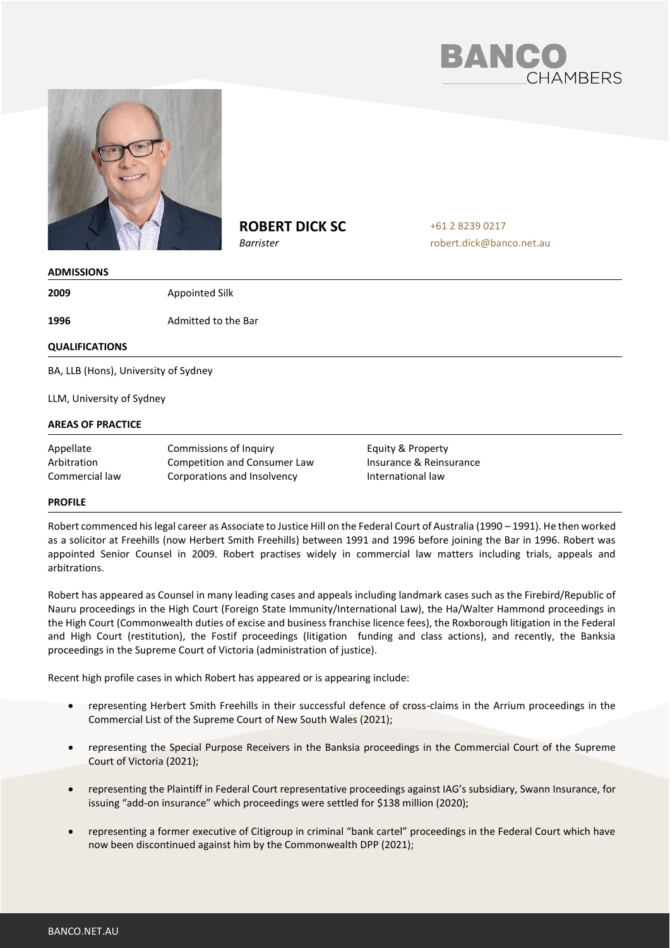



# **ROBERT DICK SC**

*Barrister*

+61 2 8239 0217 robert.dick@banco.net.au

### **ADMISSIONS**

**2009** Appointed Silk

**1996** Admitted to the Bar

## **QUALIFICATIONS**

BA, LLB (Hons), University of Sydney

LLM, University of Sydney

## **AREAS OF PRACTICE**

Appellate Arbitration Commercial law Commissions of Inquiry Competition and Consumer Law Corporations and Insolvency

Equity & Property Insurance & Reinsurance International law

### **PROFILE**

Robert commenced his legal career as Associate to Justice Hill on the Federal Court of Australia (1990 – 1991). He then worked as a solicitor at Freehills (now Herbert Smith Freehills) between 1991 and 1996 before joining the Bar in 1996. Robert was appointed Senior Counsel in 2009. Robert practises widely in commercial law matters including trials, appeals and arbitrations.

Robert has appeared as Counsel in many leading cases and appeals including landmark cases such as the Firebird/Republic of Nauru proceedings in the High Court (Foreign State Immunity/International Law), the Ha/Walter Hammond proceedings in the High Court (Commonwealth duties of excise and business franchise licence fees), the Roxborough litigation in the Federal and High Court (restitution), the Fostif proceedings (litigation funding and class actions), and recently, the Banksia proceedings in the Supreme Court of Victoria (administration of justice).

Recent high profile cases in which Robert has appeared or is appearing include:

- representing Herbert Smith Freehills in their successful defence of cross-claims in the Arrium proceedings in the Commercial List of the Supreme Court of New South Wales (2021);
- representing the Special Purpose Receivers in the Banksia proceedings in the Commercial Court of the Supreme Court of Victoria (2021);
- representing the Plaintiff in Federal Court representative proceedings against IAG's subsidiary, Swann Insurance, for issuing "add-on insurance" which proceedings were settled for \$138 million (2020);
- representing a former executive of Citigroup in criminal "bank cartel" proceedings in the Federal Court which have now been discontinued against him by the Commonwealth DPP (2021);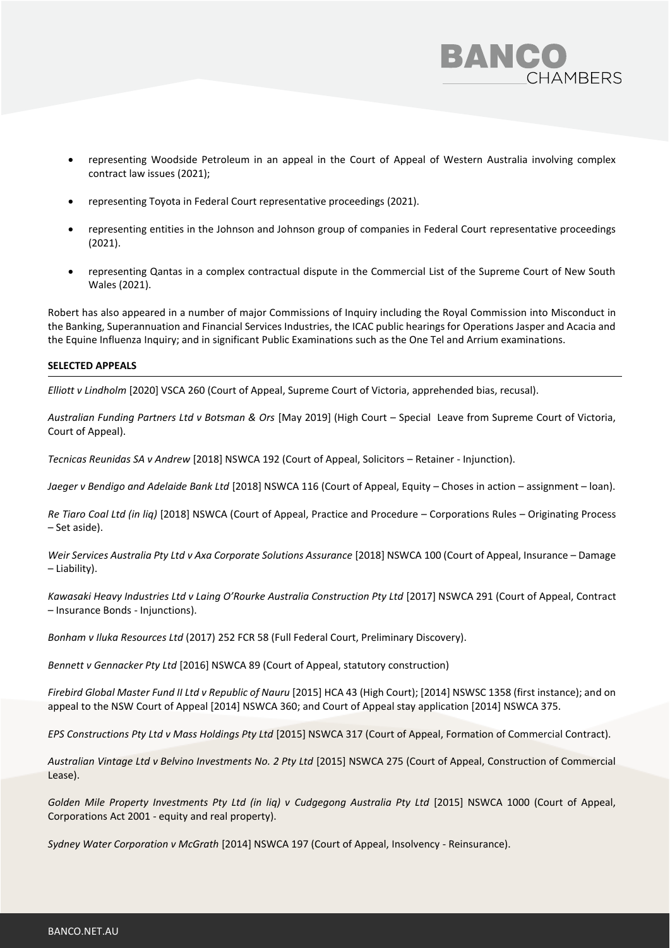

- representing Woodside Petroleum in an appeal in the Court of Appeal of Western Australia involving complex contract law issues (2021);
- representing Toyota in Federal Court representative proceedings (2021).
- representing entities in the Johnson and Johnson group of companies in Federal Court representative proceedings (2021).
- representing Qantas in a complex contractual dispute in the Commercial List of the Supreme Court of New South Wales (2021).

Robert has also appeared in a number of major Commissions of Inquiry including the Royal Commission into Misconduct in the Banking, Superannuation and Financial Services Industries, the ICAC public hearings for Operations Jasper and Acacia and the Equine Influenza Inquiry; and in significant Public Examinations such as the One Tel and Arrium examinations.

### **SELECTED APPEALS**

*Elliott v Lindholm* [2020] VSCA 260 (Court of Appeal, Supreme Court of Victoria, apprehended bias, recusal).

*Australian Funding Partners Ltd v Botsman & Ors* [May 2019] (High Court – Special Leave from Supreme Court of Victoria, Court of Appeal).

*Tecnicas Reunidas SA v Andrew* [2018] NSWCA 192 (Court of Appeal, Solicitors – Retainer - Injunction).

*Jaeger v Bendigo and Adelaide Bank Ltd* [2018] NSWCA 116 (Court of Appeal, Equity – Choses in action – assignment – loan).

*Re Tiaro Coal Ltd (in liq)* [2018] NSWCA (Court of Appeal, Practice and Procedure – Corporations Rules – Originating Process – Set aside).

*Weir Services Australia Pty Ltd v Axa Corporate Solutions Assurance* [2018] NSWCA 100 (Court of Appeal, Insurance – Damage – Liability).

*Kawasaki Heavy Industries Ltd v Laing O'Rourke Australia Construction Pty Ltd* [2017] NSWCA 291 (Court of Appeal, Contract – Insurance Bonds - Injunctions).

*Bonham v Iluka Resources Ltd* (2017) 252 FCR 58 (Full Federal Court, Preliminary Discovery).

*Bennett v Gennacker Pty Ltd* [2016] NSWCA 89 (Court of Appeal, statutory construction)

*Firebird Global Master Fund II Ltd v Republic of Nauru* [2015] HCA 43 (High Court); [2014] NSWSC 1358 (first instance); and on appeal to the NSW Court of Appeal [2014] NSWCA 360; and Court of Appeal stay application [2014] NSWCA 375.

*EPS Constructions Pty Ltd v Mass Holdings Pty Ltd* [2015] NSWCA 317 (Court of Appeal, Formation of Commercial Contract).

*Australian Vintage Ltd v Belvino Investments No. 2 Pty Ltd* [2015] NSWCA 275 (Court of Appeal, Construction of Commercial Lease).

*Golden Mile Property Investments Pty Ltd (in liq) v Cudgegong Australia Pty Ltd* [2015] NSWCA 1000 (Court of Appeal, Corporations Act 2001 - equity and real property).

*Sydney Water Corporation v McGrath* [2014] NSWCA 197 (Court of Appeal, Insolvency - Reinsurance).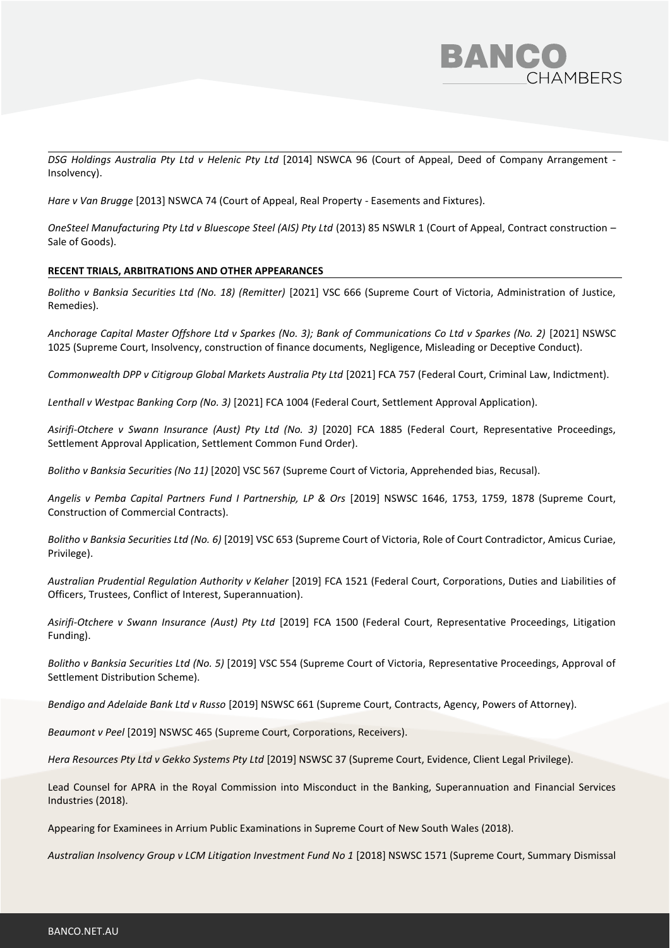

*DSG Holdings Australia Pty Ltd v Helenic Pty Ltd* [2014] NSWCA 96 (Court of Appeal, Deed of Company Arrangement - Insolvency).

*Hare v Van Brugge* [2013] NSWCA 74 (Court of Appeal, Real Property - Easements and Fixtures).

*OneSteel Manufacturing Pty Ltd v Bluescope Steel (AIS) Pty Ltd* (2013) 85 NSWLR 1 (Court of Appeal, Contract construction – Sale of Goods).

## **RECENT TRIALS, ARBITRATIONS AND OTHER APPEARANCES**

*Bolitho v Banksia Securities Ltd (No. 18) (Remitter)* [2021] VSC 666 (Supreme Court of Victoria, Administration of Justice, Remedies).

*Anchorage Capital Master Offshore Ltd v Sparkes (No. 3); Bank of Communications Co Ltd v Sparkes (No. 2)* [2021] NSWSC 1025 (Supreme Court, Insolvency, construction of finance documents, Negligence, Misleading or Deceptive Conduct).

*Commonwealth DPP v Citigroup Global Markets Australia Pty Ltd* [2021] FCA 757 (Federal Court, Criminal Law, Indictment).

*Lenthall v Westpac Banking Corp (No. 3)* [2021] FCA 1004 (Federal Court, Settlement Approval Application).

*Asirifi-Otchere v Swann Insurance (Aust) Pty Ltd (No. 3)* [2020] FCA 1885 (Federal Court, Representative Proceedings, Settlement Approval Application, Settlement Common Fund Order).

*Bolitho v Banksia Securities (No 11)* [2020] VSC 567 (Supreme Court of Victoria, Apprehended bias, Recusal).

*Angelis v Pemba Capital Partners Fund I Partnership, LP & Ors* [2019] NSWSC 1646, 1753, 1759, 1878 (Supreme Court, Construction of Commercial Contracts).

*Bolitho v Banksia Securities Ltd (No. 6)* [2019] VSC 653 (Supreme Court of Victoria, Role of Court Contradictor, Amicus Curiae, Privilege).

*Australian Prudential Regulation Authority v Kelaher* [2019] FCA 1521 (Federal Court, Corporations, Duties and Liabilities of Officers, Trustees, Conflict of Interest, Superannuation).

*Asirifi-Otchere v Swann Insurance (Aust) Pty Ltd* [2019] FCA 1500 (Federal Court, Representative Proceedings, Litigation Funding).

*Bolitho v Banksia Securities Ltd (No. 5)* [2019] VSC 554 (Supreme Court of Victoria, Representative Proceedings, Approval of Settlement Distribution Scheme).

*Bendigo and Adelaide Bank Ltd v Russo* [2019] NSWSC 661 (Supreme Court, Contracts, Agency, Powers of Attorney).

*Beaumont v Peel* [2019] NSWSC 465 (Supreme Court, Corporations, Receivers).

*Hera Resources Pty Ltd v Gekko Systems Pty Ltd* [2019] NSWSC 37 (Supreme Court, Evidence, Client Legal Privilege).

Lead Counsel for APRA in the Royal Commission into Misconduct in the Banking, Superannuation and Financial Services Industries (2018).

Appearing for Examinees in Arrium Public Examinations in Supreme Court of New South Wales (2018).

Australian Insolvency Group v LCM Litigation Investment Fund No 1 [2018] NSWSC 1571 (Supreme Court, Summary Dismissal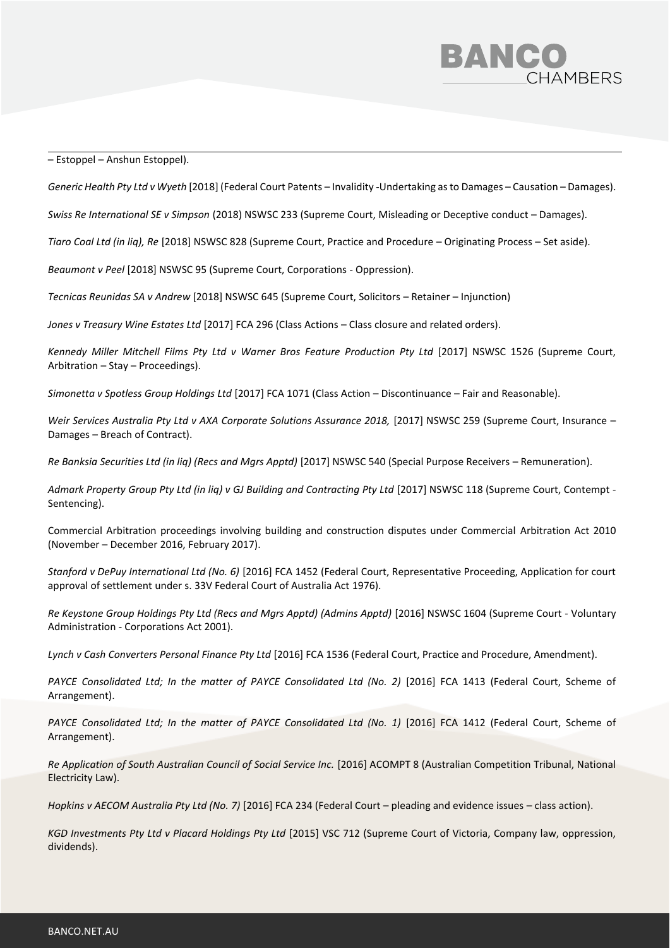

– Estoppel – Anshun Estoppel).

*Generic Health Pty Ltd v Wyeth* [2018] (Federal Court Patents – Invalidity -Undertaking as to Damages – Causation – Damages).

*Swiss Re International SE v Simpson* (2018) NSWSC 233 (Supreme Court, Misleading or Deceptive conduct – Damages).

*Tiaro Coal Ltd (in liq), Re* [2018] NSWSC 828 (Supreme Court, Practice and Procedure – Originating Process – Set aside).

*Beaumont v Peel* [2018] NSWSC 95 (Supreme Court, Corporations - Oppression).

*Tecnicas Reunidas SA v Andrew* [2018] NSWSC 645 (Supreme Court, Solicitors – Retainer – Injunction)

*Jones v Treasury Wine Estates Ltd* [2017] FCA 296 (Class Actions – Class closure and related orders).

Kennedy Miller Mitchell Films Pty Ltd v Warner Bros Feature Production Pty Ltd [2017] NSWSC 1526 (Supreme Court, Arbitration – Stay – Proceedings).

*Simonetta v Spotless Group Holdings Ltd* [2017] FCA 1071 (Class Action – Discontinuance – Fair and Reasonable).

Weir Services Australia Pty Ltd v AXA Corporate Solutions Assurance 2018, [2017] NSWSC 259 (Supreme Court, Insurance – Damages – Breach of Contract).

*Re Banksia Securities Ltd (in liq) (Recs and Mgrs Apptd)* [2017] NSWSC 540 (Special Purpose Receivers – Remuneration).

*Admark Property Group Pty Ltd (in liq) v GJ Building and Contracting Pty Ltd* [2017] NSWSC 118 (Supreme Court, Contempt - Sentencing).

Commercial Arbitration proceedings involving building and construction disputes under Commercial Arbitration Act 2010 (November – December 2016, February 2017).

*Stanford v DePuy International Ltd (No. 6)* [2016] FCA 1452 (Federal Court, Representative Proceeding, Application for court approval of settlement under s. 33V Federal Court of Australia Act 1976).

*Re Keystone Group Holdings Pty Ltd (Recs and Mgrs Apptd) (Admins Apptd)* [2016] NSWSC 1604 (Supreme Court - Voluntary Administration - Corporations Act 2001).

*Lynch v Cash Converters Personal Finance Pty Ltd* [2016] FCA 1536 (Federal Court, Practice and Procedure, Amendment).

PAYCE Consolidated Ltd; In the matter of PAYCE Consolidated Ltd (No. 2) [2016] FCA 1413 (Federal Court, Scheme of Arrangement).

PAYCE Consolidated Ltd; In the matter of PAYCE Consolidated Ltd (No. 1) [2016] FCA 1412 (Federal Court, Scheme of Arrangement).

*Re Application of South Australian Council of Social Service Inc.* [2016] ACOMPT 8 (Australian Competition Tribunal, National Electricity Law).

*Hopkins v AECOM Australia Pty Ltd (No. 7)* [2016] FCA 234 (Federal Court – pleading and evidence issues – class action).

*KGD Investments Pty Ltd v Placard Holdings Pty Ltd* [2015] VSC 712 (Supreme Court of Victoria, Company law, oppression, dividends).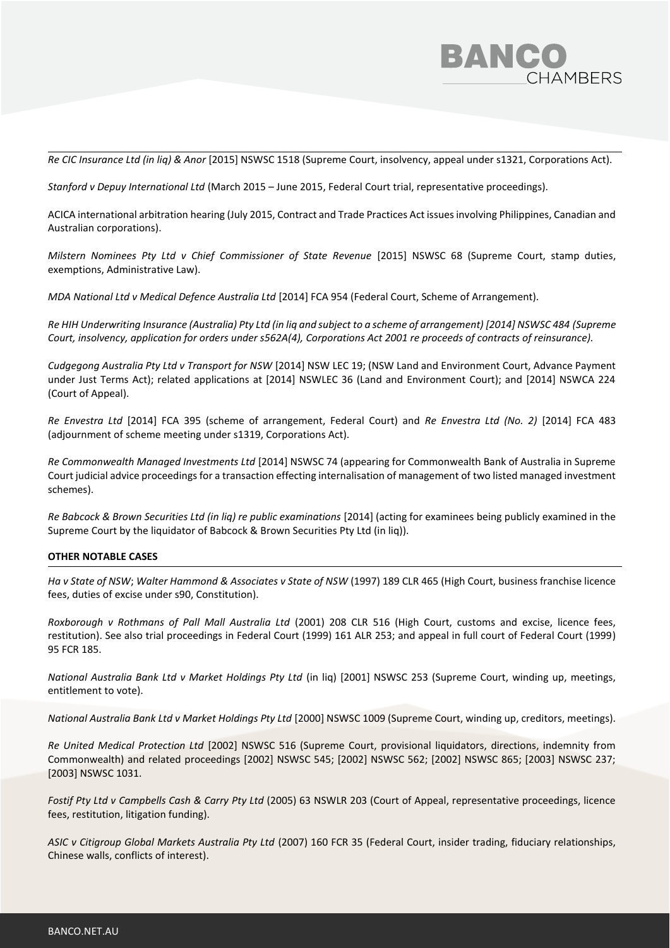

*Re CIC Insurance Ltd (in liq) & Anor* [2015] NSWSC 1518 (Supreme Court, insolvency, appeal under s1321, Corporations Act).

*Stanford v Depuy International Ltd* (March 2015 – June 2015, Federal Court trial, representative proceedings).

ACICA international arbitration hearing (July 2015, Contract and Trade Practices Act issues involving Philippines, Canadian and Australian corporations).

*Milstern Nominees Pty Ltd v Chief Commissioner of State Revenue* [2015] NSWSC 68 (Supreme Court, stamp duties, exemptions, Administrative Law).

*MDA National Ltd v Medical Defence Australia Ltd* [2014] FCA 954 (Federal Court, Scheme of Arrangement).

*Re HIH Underwriting Insurance (Australia) Pty Ltd (in liq and subject to a scheme of arrangement) [2014] NSWSC 484 (Supreme Court, insolvency, application for orders under s562A(4), Corporations Act 2001 re proceeds of contracts of reinsurance).*

*Cudgegong Australia Pty Ltd v Transport for NSW* [2014] NSW LEC 19; (NSW Land and Environment Court, Advance Payment under Just Terms Act); related applications at [2014] NSWLEC 36 (Land and Environment Court); and [2014] NSWCA 224 (Court of Appeal).

*Re Envestra Ltd* [2014] FCA 395 (scheme of arrangement, Federal Court) and *Re Envestra Ltd (No. 2)* [2014] FCA 483 (adjournment of scheme meeting under s1319, Corporations Act).

*Re Commonwealth Managed Investments Ltd* [2014] NSWSC 74 (appearing for Commonwealth Bank of Australia in Supreme Court judicial advice proceedings for a transaction effecting internalisation of management of two listed managed investment schemes).

*Re Babcock & Brown Securities Ltd (in liq) re public examinations* [2014] (acting for examinees being publicly examined in the Supreme Court by the liquidator of Babcock & Brown Securities Pty Ltd (in liq)).

#### **OTHER NOTABLE CASES**

*Ha v State of NSW*; *Walter Hammond & Associates v State of NSW* (1997) 189 CLR 465 (High Court, business franchise licence fees, duties of excise under s90, Constitution).

*Roxborough v Rothmans of Pall Mall Australia Ltd* (2001) 208 CLR 516 (High Court, customs and excise, licence fees, restitution). See also trial proceedings in Federal Court (1999) 161 ALR 253; and appeal in full court of Federal Court (1999) 95 FCR 185.

*National Australia Bank Ltd v Market Holdings Pty Ltd* (in liq) [2001] NSWSC 253 (Supreme Court, winding up, meetings, entitlement to vote).

*National Australia Bank Ltd v Market Holdings Pty Ltd* [2000] NSWSC 1009 (Supreme Court, winding up, creditors, meetings).

*Re United Medical Protection Ltd* [2002] NSWSC 516 (Supreme Court, provisional liquidators, directions, indemnity from Commonwealth) and related proceedings [2002] NSWSC 545; [2002] NSWSC 562; [2002] NSWSC 865; [2003] NSWSC 237; [2003] NSWSC 1031.

*Fostif Pty Ltd v Campbells Cash & Carry Pty Ltd* (2005) 63 NSWLR 203 (Court of Appeal, representative proceedings, licence fees, restitution, litigation funding).

*ASIC v Citigroup Global Markets Australia Pty Ltd* (2007) 160 FCR 35 (Federal Court, insider trading, fiduciary relationships, Chinese walls, conflicts of interest).